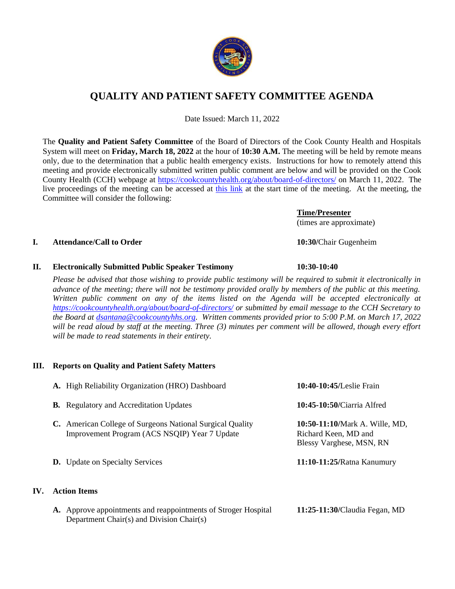

## **QUALITY AND PATIENT SAFETY COMMITTEE AGENDA**

Date Issued: March 11, 2022

The **Quality and Patient Safety Committee** of the Board of Directors of the Cook County Health and Hospitals System will meet on **Friday, March 18, 2022** at the hour of **10:30 A.M.** The meeting will be held by remote means only, due to the determination that a public health emergency exists. Instructions for how to remotely attend this meeting and provide electronically submitted written public comment are below and will be provided on the Cook County Health (CCH) webpage at<https://cookcountyhealth.org/about/board-of-directors/> on March 11, 2022. The live proceedings of the meeting can be accessed at [this link](https://www.youtube.com/channel/UCj9DT_l0RU-MVC-_u-tOkZA) at the start time of the meeting. At the meeting, the Committee will consider the following:

# **I. Attendance/Call to Order 10:30/**Chair Gugenheim

### **II. Electronically Submitted Public Speaker Testimony 10:30-10:40**

*Please be advised that those wishing to provide public testimony will be required to submit it electronically in advance of the meeting; there will not be testimony provided orally by members of the public at this meeting. Written public comment on any of the items listed on the Agenda will be accepted electronically at <https://cookcountyhealth.org/about/board-of-directors/> or submitted by email message to the CCH Secretary to the Board at [dsantana@cookcountyhhs.org.](mailto:dsantana@cookcountyhhs.org) Written comments provided prior to 5:00 P.M. on March 17, 2022 will be read aloud by staff at the meeting. Three (3) minutes per comment will be allowed, though every effort will be made to read statements in their entirety.*

### **III. Reports on Quality and Patient Safety Matters**

|     | A. High Reliability Organization (HRO) Dashboard                                                            | 10:40-10:45/Leslie Frain                                                           |  |
|-----|-------------------------------------------------------------------------------------------------------------|------------------------------------------------------------------------------------|--|
|     | <b>B.</b> Regulatory and Accreditation Updates                                                              | 10:45-10:50/Ciarria Alfred                                                         |  |
|     | C. American College of Surgeons National Surgical Quality<br>Improvement Program (ACS NSQIP) Year 7 Update  | 10:50-11:10/Mark A. Wille, MD,<br>Richard Keen, MD and<br>Blessy Varghese, MSN, RN |  |
|     | <b>D.</b> Update on Specialty Services                                                                      | 11:10-11:25/Ratna Kanumury                                                         |  |
| IV. | <b>Action Items</b>                                                                                         |                                                                                    |  |
|     | A. Approve appointments and reappointments of Stroger Hospital<br>Department Chair(s) and Division Chair(s) | 11:25-11:30/Claudia Fegan, MD                                                      |  |



(times are approximate)

**Time/Presenter**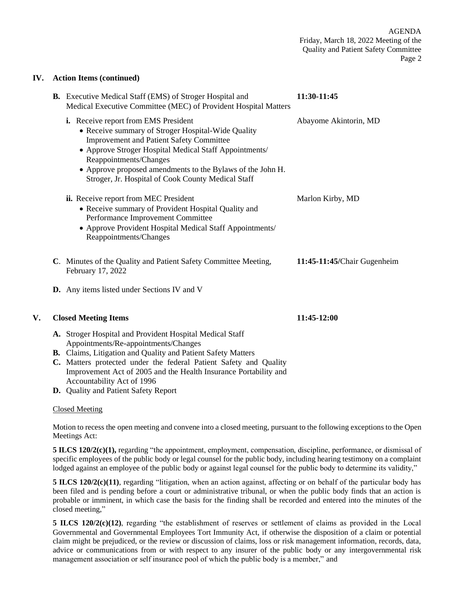### **IV. Action Items (continued)**

|    | <b>B.</b> Executive Medical Staff (EMS) of Stroger Hospital and<br>Medical Executive Committee (MEC) of Provident Hospital Matters                                                                                                                                                                                                                    | 11:30-11:45                 |
|----|-------------------------------------------------------------------------------------------------------------------------------------------------------------------------------------------------------------------------------------------------------------------------------------------------------------------------------------------------------|-----------------------------|
|    | i. Receive report from EMS President<br>• Receive summary of Stroger Hospital-Wide Quality<br><b>Improvement and Patient Safety Committee</b><br>• Approve Stroger Hospital Medical Staff Appointments/<br>Reappointments/Changes<br>• Approve proposed amendments to the Bylaws of the John H.<br>Stroger, Jr. Hospital of Cook County Medical Staff | Abayome Akintorin, MD       |
|    | ii. Receive report from MEC President<br>• Receive summary of Provident Hospital Quality and<br>Performance Improvement Committee<br>• Approve Provident Hospital Medical Staff Appointments/<br>Reappointments/Changes                                                                                                                               | Marlon Kirby, MD            |
|    | C. Minutes of the Quality and Patient Safety Committee Meeting,<br>February 17, 2022                                                                                                                                                                                                                                                                  | 11:45-11:45/Chair Gugenheim |
|    | <b>D.</b> Any items listed under Sections IV and V                                                                                                                                                                                                                                                                                                    |                             |
| V. | <b>Closed Meeting Items</b>                                                                                                                                                                                                                                                                                                                           | 11:45-12:00                 |
|    | A. Stroger Hospital and Provident Hospital Medical Staff<br>Appointments/Re-appointments/Changes<br>B. Claims, Litigation and Quality and Patient Safety Matters                                                                                                                                                                                      |                             |

- **C.** Matters protected under the federal Patient Safety and Quality Improvement Act of 2005 and the Health Insurance Portability and Accountability Act of 1996
- **D.** Quality and Patient Safety Report

### Closed Meeting

Motion to recess the open meeting and convene into a closed meeting, pursuant to the following exceptions to the Open Meetings Act:

**5 ILCS 120/2(c)(1),** regarding "the appointment, employment, compensation, discipline, performance, or dismissal of specific employees of the public body or legal counsel for the public body, including hearing testimony on a complaint lodged against an employee of the public body or against legal counsel for the public body to determine its validity,"

**5 ILCS 120/2(c)(11)**, regarding "litigation, when an action against, affecting or on behalf of the particular body has been filed and is pending before a court or administrative tribunal, or when the public body finds that an action is probable or imminent, in which case the basis for the finding shall be recorded and entered into the minutes of the closed meeting,"

**5 ILCS 120/2(c)(12)**, regarding "the establishment of reserves or settlement of claims as provided in the Local Governmental and Governmental Employees Tort Immunity Act, if otherwise the disposition of a claim or potential claim might be prejudiced, or the review or discussion of claims, loss or risk management information, records, data, advice or communications from or with respect to any insurer of the public body or any intergovernmental risk management association or self insurance pool of which the public body is a member," and